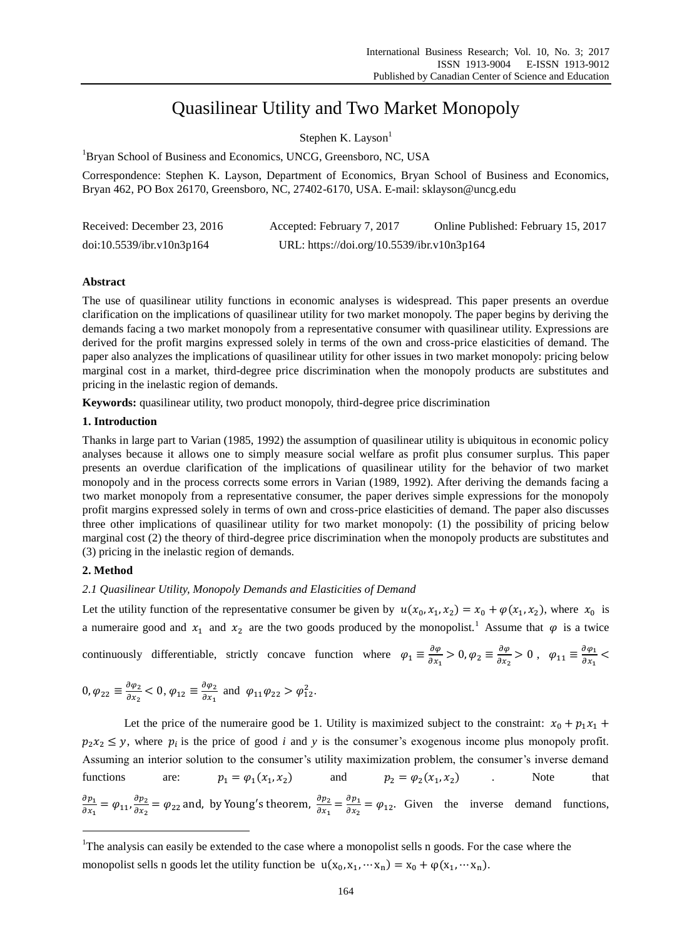# Quasilinear Utility and Two Market Monopoly

Stephen K. Layson $<sup>1</sup>$ </sup>

<sup>1</sup>Bryan School of Business and Economics, UNCG, Greensboro, NC, USA

Correspondence: Stephen K. Layson, Department of Economics, Bryan School of Business and Economics, Bryan 462, PO Box 26170, Greensboro, NC, 27402-6170, USA. E-mail: sklayson@uncg.edu

| Received: December 23, 2016 | Accepted: February 7, 2017                 | Online Published: February 15, 2017 |
|-----------------------------|--------------------------------------------|-------------------------------------|
| doi:10.5539/ibr.v10n3p164   | URL: https://doi.org/10.5539/ibr.v10n3p164 |                                     |

## **Abstract**

The use of quasilinear utility functions in economic analyses is widespread. This paper presents an overdue clarification on the implications of quasilinear utility for two market monopoly. The paper begins by deriving the demands facing a two market monopoly from a representative consumer with quasilinear utility. Expressions are derived for the profit margins expressed solely in terms of the own and cross-price elasticities of demand. The paper also analyzes the implications of quasilinear utility for other issues in two market monopoly: pricing below marginal cost in a market, third-degree price discrimination when the monopoly products are substitutes and pricing in the inelastic region of demands.

**Keywords:** quasilinear utility, two product monopoly, third-degree price discrimination

#### **1. Introduction**

Thanks in large part to Varian (1985, 1992) the assumption of quasilinear utility is ubiquitous in economic policy analyses because it allows one to simply measure social welfare as profit plus consumer surplus. This paper presents an overdue clarification of the implications of quasilinear utility for the behavior of two market monopoly and in the process corrects some errors in Varian (1989, 1992). After deriving the demands facing a two market monopoly from a representative consumer, the paper derives simple expressions for the monopoly profit margins expressed solely in terms of own and cross-price elasticities of demand. The paper also discusses three other implications of quasilinear utility for two market monopoly: (1) the possibility of pricing below marginal cost (2) the theory of third-degree price discrimination when the monopoly products are substitutes and (3) pricing in the inelastic region of demands.

## **2. Method**

 $\overline{a}$ 

#### *2.1 Quasilinear Utility, Monopoly Demands and Elasticities of Demand*

Let the utility function of the representative consumer be given by  $u(x_0, x_1, x_2) = x_0 + \varphi(x_1, x_2)$ , where  $x_0$  is a numeraire good and  $x_1$  and  $x_2$  are the two goods produced by the monopolist.<sup>1</sup> Assume that  $\varphi$  is a twice continuously differentiable, strictly concave function where  $\varphi_1 \equiv \frac{\partial \varphi}{\partial x}$  $\frac{\partial \varphi}{\partial x_1} > 0, \varphi_2 \equiv \frac{\partial \varphi}{\partial x_2}$  $\frac{\partial \varphi}{\partial x_2} > 0$ ,  $\varphi_{11} \equiv \frac{\partial \varphi_1}{\partial x_1}$  $\frac{\partial \varphi_1}{\partial x_1}$  <

$$
0, \varphi_{22} \equiv \frac{\partial \varphi_2}{\partial x_2} < 0, \varphi_{12} \equiv \frac{\partial \varphi_2}{\partial x_1} \text{ and } \varphi_{11} \varphi_{22} > \varphi_{12}^2.
$$

Let the price of the numeraire good be 1. Utility is maximized subject to the constraint:  $x_0 + p_1 x_1 + p_2 x_2 + p_3 x_3$  $p_2 x_2 \leq y$ , where  $p_i$  is the price of good *i* and *y* is the consumer's exogenous income plus monopoly profit. Assuming an interior solution to the consumer's utility maximization problem, the consumer's inverse demand functions are:  $p_1 = \varphi_1(x_1, x_2)$  $(x_2)$  and  $p_2 = \varphi_2(x_1, x_2)$  . Note that  $\partial p_{\mathtt{1}}$  $\frac{\partial p_1}{\partial x_1} = \varphi_{11}, \frac{\partial p_2}{\partial x_2}$  $\frac{\partial p_2}{\partial x_2} = \varphi_{22}$  and, by Young's theorem,  $\frac{\partial p_2}{\partial x_1}$  $\frac{\partial p_2}{\partial x_1} = \frac{\partial p_1}{\partial x_2}$  $\frac{\partial \rho_1}{\partial x_2} = \varphi_{12}$ . Given the inverse demand functions,

<sup>&</sup>lt;sup>1</sup>The analysis can easily be extended to the case where a monopolist sells n goods. For the case where the monopolist sells n goods let the utility function be  $u(x_0, x_1, \dots, x_n) = x_0 + \varphi(x_1, \dots, x_n)$ .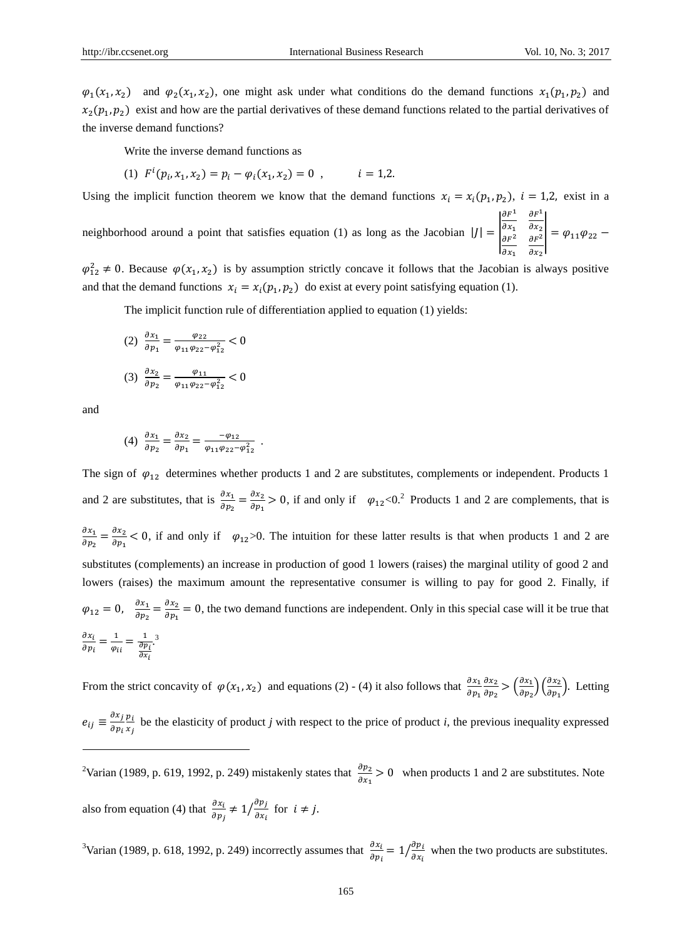$\varphi_1(x_1, x_2)$  and  $\varphi_2(x_1, x_2)$ , one might ask under what conditions do the demand functions  $x_1(p_1, p_2)$  and  $x_2(p_1, p_2)$  exist and how are the partial derivatives of these demand functions related to the partial derivatives of the inverse demand functions?

Write the inverse demand functions as

(1) 
$$
F^{i}(p_{i}, x_{1}, x_{2}) = p_{i} - \varphi_{i}(x_{1}, x_{2}) = 0
$$
,  $i = 1,2$ .

Using the implicit function theorem we know that the demand functions  $x_i = x_i(p_1, p_2)$ ,  $i = 1, 2$ , exist in a

neighborhood around a point that satisfies equation (1) as long as the Jacobian  $|J| = |$  $\partial F^1$  $\partial x_1$  $\partial F^1$  $\partial x_2$  $\begin{vmatrix} \frac{\partial x_1}{\partial F^2} & \frac{\partial x_2}{\partial F^2} \end{vmatrix} = \varphi_{11}\varphi_{22}$  $\partial x_1$  $\partial x_2$ 

 $\varphi_{12}^2 \neq 0$ . Because  $\varphi(x_1, x_2)$  is by assumption strictly concave it follows that the Jacobian is always positive and that the demand functions  $x_i = x_i(p_1, p_2)$  do exist at every point satisfying equation (1).

The implicit function rule of differentiation applied to equation (1) yields:

$$
(2) \frac{\partial x_1}{\partial p_1} = \frac{\varphi_{22}}{\varphi_{11}\varphi_{22} - \varphi_{12}^2} < 0
$$
  

$$
(3) \frac{\partial x_2}{\partial p_2} = \frac{\varphi_{11}}{\varphi_{11}\varphi_{22} - \varphi_{12}^2} < 0
$$

and

 $\overline{a}$ 

(4) 
$$
\frac{\partial x_1}{\partial p_2} = \frac{\partial x_2}{\partial p_1} = \frac{-\varphi_{12}}{\varphi_{11}\varphi_{22} - \varphi_{12}^2} \ .
$$

 $\frac{\varphi_{11}}{\varphi_{11}\varphi_{22}-\varphi_{12}^2}<0$ 

The sign of  $\varphi_{12}$  determines whether products 1 and 2 are substitutes, complements or independent. Products 1 and 2 are substitutes, that is  $\frac{\partial x_1}{\partial p_2} = \frac{\partial x_2}{\partial p_1}$  $\frac{\partial x_2}{\partial p_1} > 0$ , if and only if  $\varphi_{12} < 0$ .<sup>2</sup> Products 1 and 2 are complements, that is  $\partial x_1$  $\frac{\partial x_1}{\partial p_2} = \frac{\partial x_2}{\partial p_1}$  $\frac{\partial x_2}{\partial p_1}$  < 0, if and only if  $\varphi_{12}$ >0. The intuition for these latter results is that when products 1 and 2 are substitutes (complements) an increase in production of good 1 lowers (raises) the marginal utility of good 2 and lowers (raises) the maximum amount the representative consumer is willing to pay for good 2. Finally, if  $\varphi_{12} = 0, \quad \frac{\partial x_1}{\partial x_2}$  $\frac{\partial x_1}{\partial p_2} = \frac{\partial x_2}{\partial p_1}$  $\frac{\partial x_2}{\partial p_1}$  = 0, the two demand functions are independent. Only in this special case will it be true that  $\partial x_i$  $\frac{\partial x_i}{\partial p_i} = \frac{1}{\varphi_i}$  $rac{1}{\varphi_{ii}} = \frac{1}{\frac{\partial p}{\partial x}}$  $\partial p_i$  $\partial x_i$ . 3

From the strict concavity of  $\varphi(x_1, x_2)$  and equations (2) - (4) it also follows that  $\frac{\partial x_1}{\partial p_1}$  $\partial x_2$  $\frac{\partial x_2}{\partial p_2} > \left(\frac{\partial x_1}{\partial p_2}\right)$  $\left(\frac{\partial x_1}{\partial p_2}\right)\left(\frac{\partial x_2}{\partial p_1}\right)$  $\frac{\partial x_2}{\partial p_1}$ . Letting

 $e_{ij} \equiv \frac{\partial x_j}{\partial x_i}$  $\partial p_i$  $p_i$  $\frac{di}{x_j}$  be the elasticity of product *j* with respect to the price of product *i*, the previous inequality expressed

<sup>2</sup>Varian (1989, p. 619, 1992, p. 249) mistakenly states that  $\frac{\partial p_2}{\partial x_1} > 0$  when products 1 and 2 are substitutes. Note also from equation (4) that  $\frac{\partial x_i}{\partial p_j} \neq 1/\frac{\partial p_j}{\partial x_i}$  $\sqrt{\frac{\partial p_j}{\partial x_i}}$  for  $i \neq j$ .

<sup>3</sup>Varian (1989, p. 618, 1992, p. 249) incorrectly assumes that  $\frac{\partial x_i}{\partial p_i} = 1/\frac{\partial p_i}{\partial x_i}$  $\sqrt{\frac{\partial p_i}{\partial x_i}}$  when the two products are substitutes.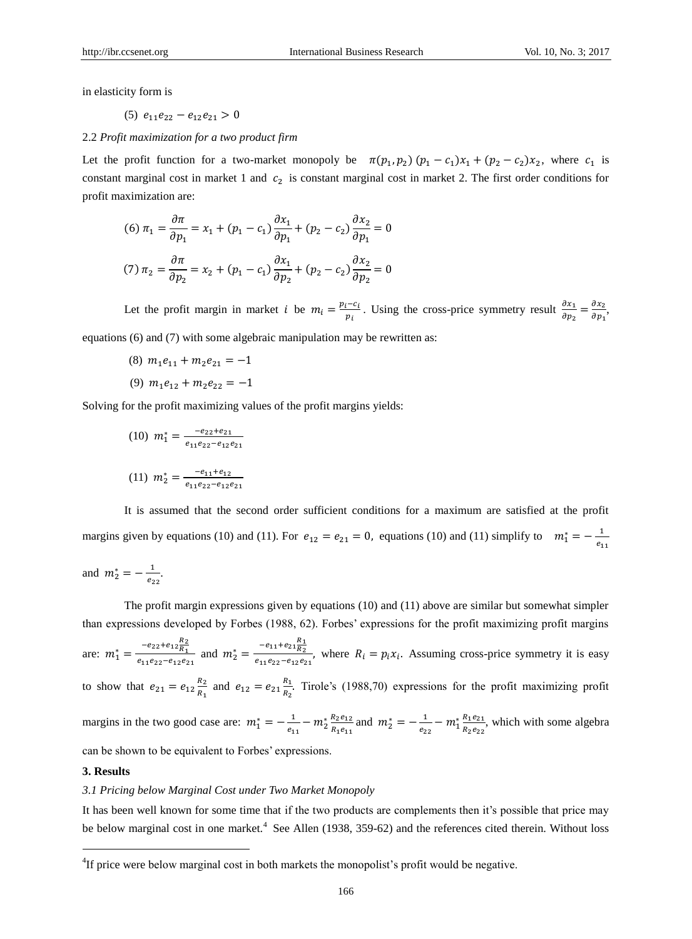in elasticity form is

$$
(5) e_{11}e_{22} - e_{12}e_{21} > 0
$$

2.2 *Profit maximization for a two product firm*

Let the profit function for a two-market monopoly be  $\pi(p_1, p_2) (p_1 - c_1)x_1 + (p_2 - c_2)x_2$ , where  $c_1$  is constant marginal cost in market 1 and  $c_2$  is constant marginal cost in market 2. The first order conditions for profit maximization are:

(6) 
$$
\pi_1 = \frac{\partial \pi}{\partial p_1} = x_1 + (p_1 - c_1) \frac{\partial x_1}{\partial p_1} + (p_2 - c_2) \frac{\partial x_2}{\partial p_1} = 0
$$
  
(7)  $\pi_2 = \frac{\partial \pi}{\partial p_2} = x_2 + (p_1 - c_1) \frac{\partial x_1}{\partial p_2} + (p_2 - c_2) \frac{\partial x_2}{\partial p_2} = 0$ 

Let the profit margin in market *i* be  $m_i = \frac{p_i - c_i}{n_i}$  $\frac{i-c_i}{p_i}$ . Using the cross-price symmetry result  $\frac{\partial x_1}{\partial p_2} = \frac{\partial x_2}{\partial p_1}$  $\frac{\partial x_2}{\partial p_1},$ equations (6) and (7) with some algebraic manipulation may be rewritten as:

- (8)  $m_1 e_{11} + m_2 e_{21} = -1$
- (9)  $m_1e_{12} + m_2e_{22} = -1$

Solving for the profit maximizing values of the profit margins yields:

(10)  $m_1^* = \frac{-e_{22}+e_{21}}{e_{11}e_{22}-e_{121}}$  $e_{11}e_{22} - e_{12}e_{21}$ 

(11) 
$$
m_2^* = \frac{-e_{11} + e_{12}}{e_{11}e_{22} - e_{12}e_{21}}
$$

It is assumed that the second order sufficient conditions for a maximum are satisfied at the profit margins given by equations (10) and (11). For  $e_{12} = e_{21} = 0$ , equations (10) and (11) simplify to  $m_1^* = -\frac{1}{e_1}$  $e_{11}$ 

and  $m_2^* = -\frac{1}{a_1}$  $\frac{1}{e_{22}}$ .

The profit margin expressions given by equations (10) and (11) above are similar but somewhat simpler than expressions developed by Forbes (1988, 62). Forbes' expressions for the profit maximizing profit margins are:  $m_1^* = \frac{-e_{22}+e_{12}\frac{R_2}{R_1}}{e_{12}e_{21}+e_{22}e_{31}}$  $\frac{-e_{22}+e_{12}\frac{R_2}{R_1}}{e_{11}e_{22}-e_{12}e_{21}}$  and  $m_2^* = \frac{-e_{11}+e_{21}\frac{R_1}{R_2}}{e_{11}e_{22}-e_{12}e_{21}}$  $\frac{1122R_2}{e_{11}e_{22}-e_{12}e_{21}}$ , where  $R_i = p_i x_i$ . Assuming cross-price symmetry it is easy to show that  $e_{21} = e_{12} \frac{R_2}{R_1}$  $\frac{R_2}{R_1}$  and  $e_{12} = e_{21} \frac{R_1}{R_2}$  $\frac{k_1}{k_2}$ . Tirole's (1988,70) expressions for the profit maximizing profit margins in the two good case are:  $m_1^* = -\frac{1}{a}$  $\frac{1}{e_{11}} - m_2^* \frac{R_2 e_{12}}{R_1 e_{11}}$  $\frac{R_2 e_{12}}{R_1 e_{11}}$  and  $m_2^* = -\frac{1}{e_2}$  $\frac{1}{e_{22}} - m_1^* \frac{R_1 e_{21}}{R_2 e_{22}}$  $\frac{n_1e_{21}}{R_2e_{22}}$ , which with some algebra can be shown to be equivalent to Forbes' expressions.

#### **3. Results**

l

# *3.1 Pricing below Marginal Cost under Two Market Monopoly*

It has been well known for some time that if the two products are complements then it's possible that price may be below marginal cost in one market.<sup>4</sup> See Allen (1938, 359-62) and the references cited therein. Without loss

<sup>&</sup>lt;sup>4</sup>If price were below marginal cost in both markets the monopolist's profit would be negative.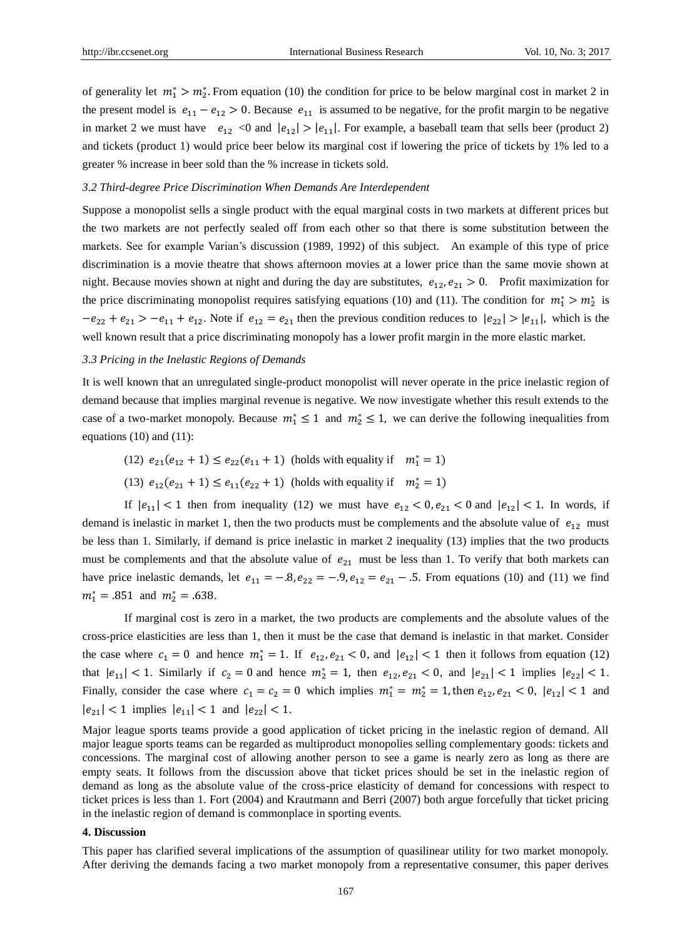of generality let  $m_1^* > m_2^*$ . From equation (10) the condition for price to be below marginal cost in market 2 in the present model is  $e_{11} - e_{12} > 0$ . Because  $e_{11}$  is assumed to be negative, for the profit margin to be negative in market 2 we must have  $e_{12}$  <0 and  $|e_{12}| > |e_{11}|$ . For example, a baseball team that sells beer (product 2) and tickets (product 1) would price beer below its marginal cost if lowering the price of tickets by 1% led to a greater % increase in beer sold than the % increase in tickets sold.

#### *3.2 Third-degree Price Discrimination When Demands Are Interdependent*

Suppose a monopolist sells a single product with the equal marginal costs in two markets at different prices but the two markets are not perfectly sealed off from each other so that there is some substitution between the markets. See for example Varian's discussion (1989, 1992) of this subject. An example of this type of price discrimination is a movie theatre that shows afternoon movies at a lower price than the same movie shown at night. Because movies shown at night and during the day are substitutes,  $e_{12}$ ,  $e_{21} > 0$ . Profit maximization for the price discriminating monopolist requires satisfying equations (10) and (11). The condition for  $m_1^* > m_2^*$  is  $-e_{22} + e_{21} > -e_{11} + e_{12}$ . Note if  $e_{12} = e_{21}$  then the previous condition reduces to  $|e_{22}| > |e_{11}|$ , which is the well known result that a price discriminating monopoly has a lower profit margin in the more elastic market.

#### *3.3 Pricing in the Inelastic Regions of Demands*

It is well known that an unregulated single-product monopolist will never operate in the price inelastic region of demand because that implies marginal revenue is negative. We now investigate whether this result extends to the case of a two-market monopoly. Because  $m_1^* \leq 1$  and  $m_2^* \leq 1$ , we can derive the following inequalities from equations (10) and (11):

- (12)  $e_{21}(e_{12} + 1) \le e_{22}(e_{11} + 1)$  (holds with equality if  $m_1^* = 1$ )
- (13)  $e_{12}(e_{21} + 1) \le e_{11}(e_{22} + 1)$  (holds with equality if  $m_2^* = 1$ )

If  $|e_{11}| < 1$  then from inequality (12) we must have  $e_{12} < 0, e_{21} < 0$  and  $|e_{12}| < 1$ . In words, if demand is inelastic in market 1, then the two products must be complements and the absolute value of  $e_{12}$  must be less than 1. Similarly, if demand is price inelastic in market 2 inequality (13) implies that the two products must be complements and that the absolute value of  $e_{21}$  must be less than 1. To verify that both markets can have price inelastic demands, let  $e_{11} = -0.8$ ,  $e_{22} = -0.9$ ,  $e_{12} = e_{21} - 0.5$ . From equations (10) and (11) we find  $m_1^* = .851$  and  $m_2^* = .638$ .

If marginal cost is zero in a market, the two products are complements and the absolute values of the cross-price elasticities are less than 1, then it must be the case that demand is inelastic in that market. Consider the case where  $c_1 = 0$  and hence  $m_1^* = 1$ . If  $e_{12}, e_{21} < 0$ , and  $|e_{12}| < 1$  then it follows from equation (12) that  $|e_{11}| < 1$ . Similarly if  $c_2 = 0$  and hence  $m_2^* = 1$ , then  $e_{12}, e_{21} < 0$ , and  $|e_{21}| < 1$  implies  $|e_{22}| < 1$ . Finally, consider the case where  $c_1 = c_2 = 0$  which implies  $m_1^* = m_2^* = 1$ , then  $e_{12}, e_{21} < 0$ ,  $|e_{12}| < 1$  and  $|e_{21}| < 1$  implies  $|e_{11}| < 1$  and  $|e_{22}| < 1$ .

Major league sports teams provide a good application of ticket pricing in the inelastic region of demand. All major league sports teams can be regarded as multiproduct monopolies selling complementary goods: tickets and concessions. The marginal cost of allowing another person to see a game is nearly zero as long as there are empty seats. It follows from the discussion above that ticket prices should be set in the inelastic region of demand as long as the absolute value of the cross-price elasticity of demand for concessions with respect to ticket prices is less than 1. Fort (2004) and Krautmann and Berri (2007) both argue forcefully that ticket pricing in the inelastic region of demand is commonplace in sporting events.

## **4. Discussion**

This paper has clarified several implications of the assumption of quasilinear utility for two market monopoly. After deriving the demands facing a two market monopoly from a representative consumer, this paper derives